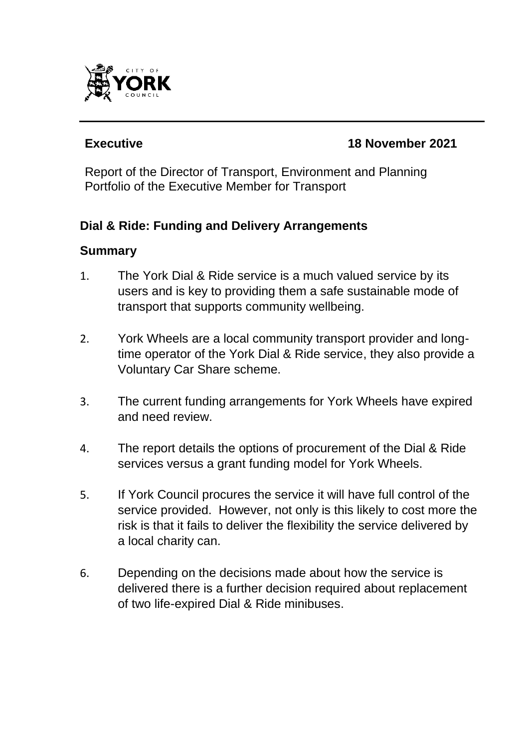

## **Executive 18 November 2021**

Report of the Director of Transport, Environment and Planning Portfolio of the Executive Member for Transport

## **Dial & Ride: Funding and Delivery Arrangements**

## **Summary**

- 1. The York Dial & Ride service is a much valued service by its users and is key to providing them a safe sustainable mode of transport that supports community wellbeing.
- 2. York Wheels are a local community transport provider and longtime operator of the York Dial & Ride service, they also provide a Voluntary Car Share scheme.
- 3. The current funding arrangements for York Wheels have expired and need review.
- 4. The report details the options of procurement of the Dial & Ride services versus a grant funding model for York Wheels.
- 5. If York Council procures the service it will have full control of the service provided. However, not only is this likely to cost more the risk is that it fails to deliver the flexibility the service delivered by a local charity can.
- 6. Depending on the decisions made about how the service is delivered there is a further decision required about replacement of two life-expired Dial & Ride minibuses.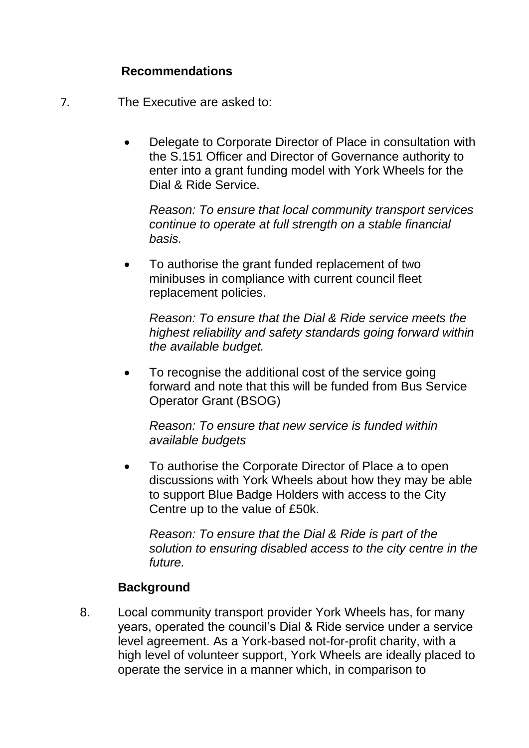#### **Recommendations**

- 7. The Executive are asked to:
	- Delegate to Corporate Director of Place in consultation with the S.151 Officer and Director of Governance authority to enter into a grant funding model with York Wheels for the Dial & Ride Service.

*Reason: To ensure that local community transport services continue to operate at full strength on a stable financial basis.*

 To authorise the grant funded replacement of two minibuses in compliance with current council fleet replacement policies.

*Reason: To ensure that the Dial & Ride service meets the highest reliability and safety standards going forward within the available budget.*

• To recognise the additional cost of the service going forward and note that this will be funded from Bus Service Operator Grant (BSOG)

*Reason: To ensure that new service is funded within available budgets*

• To authorise the Corporate Director of Place a to open discussions with York Wheels about how they may be able to support Blue Badge Holders with access to the City Centre up to the value of £50k.

*Reason: To ensure that the Dial & Ride is part of the solution to ensuring disabled access to the city centre in the future.*

# **Background**

8. Local community transport provider York Wheels has, for many years, operated the council's Dial & Ride service under a service level agreement. As a York-based not-for-profit charity, with a high level of volunteer support, York Wheels are ideally placed to operate the service in a manner which, in comparison to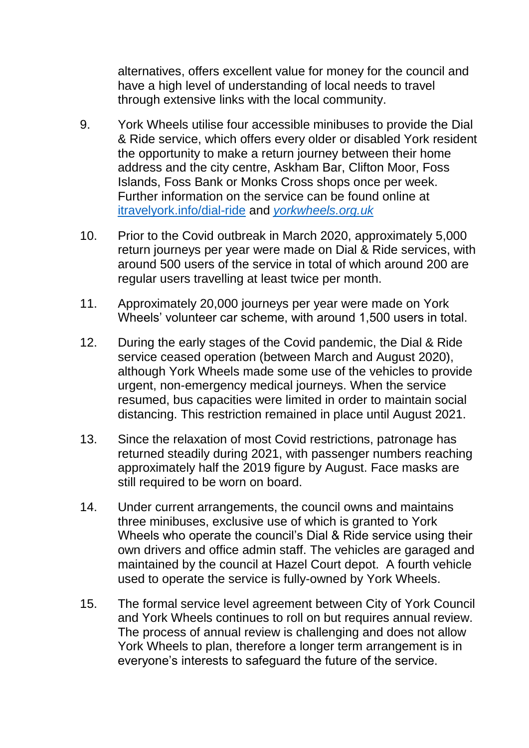alternatives, offers excellent value for money for the council and have a high level of understanding of local needs to travel through extensive links with the local community.

- 9. York Wheels utilise four accessible minibuses to provide the Dial & Ride service, which offers every older or disabled York resident the opportunity to make a return journey between their home address and the city centre, Askham Bar, Clifton Moor, Foss Islands, Foss Bank or Monks Cross shops once per week. Further information on the service can be found online at [itravelyork.info/dial-ride](https://www.itravelyork.info/dial-ride) and *[yorkwheels.org.uk](https://www.yorkwheels.org.uk/)*
- 10. Prior to the Covid outbreak in March 2020, approximately 5,000 return journeys per year were made on Dial & Ride services, with around 500 users of the service in total of which around 200 are regular users travelling at least twice per month.
- 11. Approximately 20,000 journeys per year were made on York Wheels' volunteer car scheme, with around 1,500 users in total.
- 12. During the early stages of the Covid pandemic, the Dial & Ride service ceased operation (between March and August 2020), although York Wheels made some use of the vehicles to provide urgent, non-emergency medical journeys. When the service resumed, bus capacities were limited in order to maintain social distancing. This restriction remained in place until August 2021.
- 13. Since the relaxation of most Covid restrictions, patronage has returned steadily during 2021, with passenger numbers reaching approximately half the 2019 figure by August. Face masks are still required to be worn on board.
- 14. Under current arrangements, the council owns and maintains three minibuses, exclusive use of which is granted to York Wheels who operate the council's Dial & Ride service using their own drivers and office admin staff. The vehicles are garaged and maintained by the council at Hazel Court depot. A fourth vehicle used to operate the service is fully-owned by York Wheels.
- 15. The formal service level agreement between City of York Council and York Wheels continues to roll on but requires annual review. The process of annual review is challenging and does not allow York Wheels to plan, therefore a longer term arrangement is in everyone's interests to safeguard the future of the service.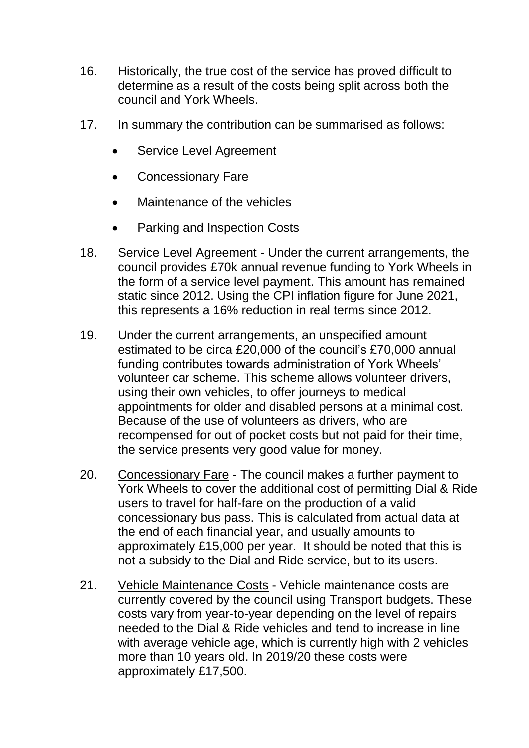- 16. Historically, the true cost of the service has proved difficult to determine as a result of the costs being split across both the council and York Wheels.
- 17. In summary the contribution can be summarised as follows:
	- Service Level Agreement
	- Concessionary Fare
	- Maintenance of the vehicles
	- Parking and Inspection Costs
- 18. Service Level Agreement Under the current arrangements, the council provides £70k annual revenue funding to York Wheels in the form of a service level payment. This amount has remained static since 2012. Using the CPI inflation figure for June 2021, this represents a 16% reduction in real terms since 2012.
- 19. Under the current arrangements, an unspecified amount estimated to be circa £20,000 of the council's £70,000 annual funding contributes towards administration of York Wheels' volunteer car scheme. This scheme allows volunteer drivers, using their own vehicles, to offer journeys to medical appointments for older and disabled persons at a minimal cost. Because of the use of volunteers as drivers, who are recompensed for out of pocket costs but not paid for their time, the service presents very good value for money.
- 20. Concessionary Fare The council makes a further payment to York Wheels to cover the additional cost of permitting Dial & Ride users to travel for half-fare on the production of a valid concessionary bus pass. This is calculated from actual data at the end of each financial year, and usually amounts to approximately £15,000 per year. It should be noted that this is not a subsidy to the Dial and Ride service, but to its users.
- 21. Vehicle Maintenance Costs Vehicle maintenance costs are currently covered by the council using Transport budgets. These costs vary from year-to-year depending on the level of repairs needed to the Dial & Ride vehicles and tend to increase in line with average vehicle age, which is currently high with 2 vehicles more than 10 years old. In 2019/20 these costs were approximately £17,500.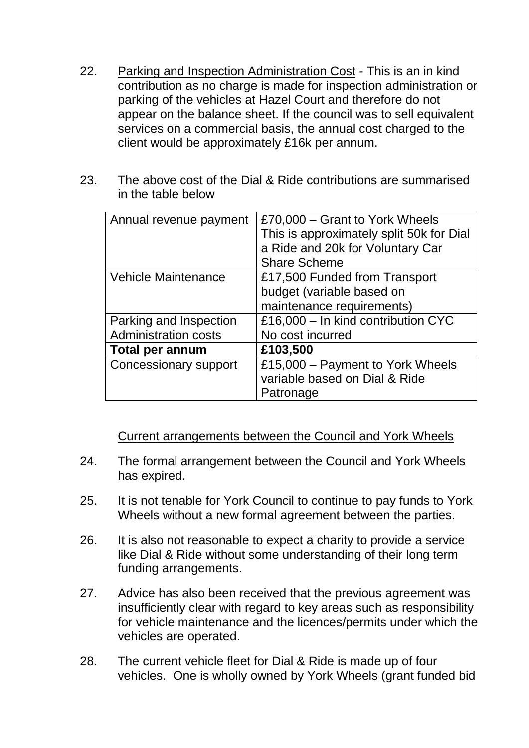- 22. Parking and Inspection Administration Cost This is an in kind contribution as no charge is made for inspection administration or parking of the vehicles at Hazel Court and therefore do not appear on the balance sheet. If the council was to sell equivalent services on a commercial basis, the annual cost charged to the client would be approximately £16k per annum.
- 23. The above cost of the Dial & Ride contributions are summarised in the table below

| Annual revenue payment       | £70,000 - Grant to York Wheels<br>This is approximately split 50k for Dial<br>a Ride and 20k for Voluntary Car<br><b>Share Scheme</b> |  |
|------------------------------|---------------------------------------------------------------------------------------------------------------------------------------|--|
| <b>Vehicle Maintenance</b>   | £17,500 Funded from Transport<br>budget (variable based on<br>maintenance requirements)                                               |  |
| Parking and Inspection       | £16,000 - In kind contribution CYC                                                                                                    |  |
| <b>Administration costs</b>  | No cost incurred                                                                                                                      |  |
| <b>Total per annum</b>       | £103,500                                                                                                                              |  |
| <b>Concessionary support</b> | £15,000 – Payment to York Wheels<br>variable based on Dial & Ride<br>Patronage                                                        |  |

### Current arrangements between the Council and York Wheels

- 24. The formal arrangement between the Council and York Wheels has expired.
- 25. It is not tenable for York Council to continue to pay funds to York Wheels without a new formal agreement between the parties.
- 26. It is also not reasonable to expect a charity to provide a service like Dial & Ride without some understanding of their long term funding arrangements.
- 27. Advice has also been received that the previous agreement was insufficiently clear with regard to key areas such as responsibility for vehicle maintenance and the licences/permits under which the vehicles are operated.
- 28. The current vehicle fleet for Dial & Ride is made up of four vehicles. One is wholly owned by York Wheels (grant funded bid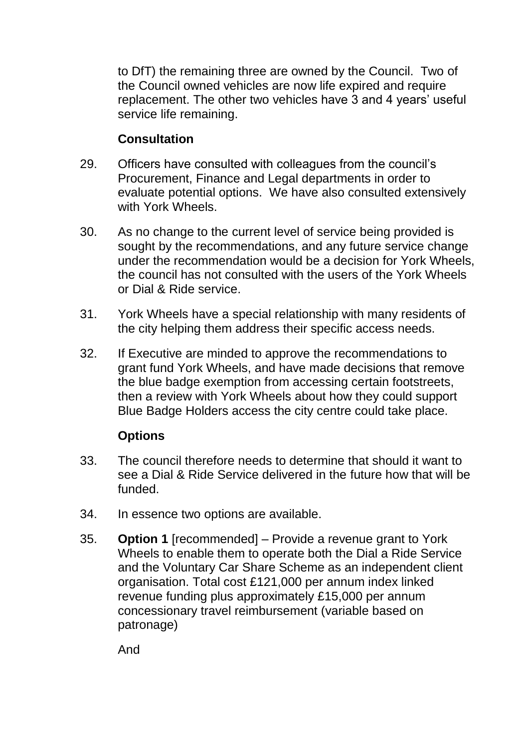to DfT) the remaining three are owned by the Council. Two of the Council owned vehicles are now life expired and require replacement. The other two vehicles have 3 and 4 years' useful service life remaining.

## **Consultation**

- 29. Officers have consulted with colleagues from the council's Procurement, Finance and Legal departments in order to evaluate potential options. We have also consulted extensively with York Wheels.
- 30. As no change to the current level of service being provided is sought by the recommendations, and any future service change under the recommendation would be a decision for York Wheels, the council has not consulted with the users of the York Wheels or Dial & Ride service.
- 31. York Wheels have a special relationship with many residents of the city helping them address their specific access needs.
- 32. If Executive are minded to approve the recommendations to grant fund York Wheels, and have made decisions that remove the blue badge exemption from accessing certain footstreets, then a review with York Wheels about how they could support Blue Badge Holders access the city centre could take place.

## **Options**

- 33. The council therefore needs to determine that should it want to see a Dial & Ride Service delivered in the future how that will be funded.
- 34. In essence two options are available.
- 35. **Option 1** [recommended] Provide a revenue grant to York Wheels to enable them to operate both the Dial a Ride Service and the Voluntary Car Share Scheme as an independent client organisation. Total cost £121,000 per annum index linked revenue funding plus approximately £15,000 per annum concessionary travel reimbursement (variable based on patronage)

And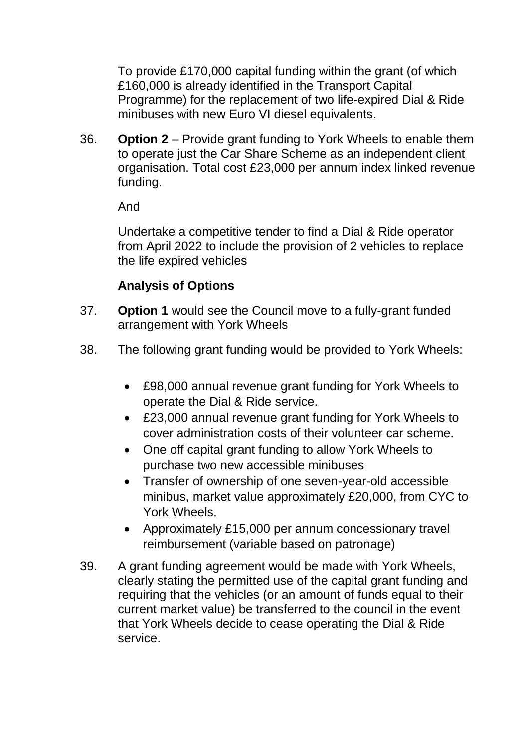To provide £170,000 capital funding within the grant (of which £160,000 is already identified in the Transport Capital Programme) for the replacement of two life-expired Dial & Ride minibuses with new Euro VI diesel equivalents.

36. **Option 2** – Provide grant funding to York Wheels to enable them to operate just the Car Share Scheme as an independent client organisation. Total cost £23,000 per annum index linked revenue funding.

And

Undertake a competitive tender to find a Dial & Ride operator from April 2022 to include the provision of 2 vehicles to replace the life expired vehicles

## **Analysis of Options**

- 37. **Option 1** would see the Council move to a fully-grant funded arrangement with York Wheels
- 38. The following grant funding would be provided to York Wheels:
	- £98,000 annual revenue grant funding for York Wheels to operate the Dial & Ride service.
	- £23,000 annual revenue grant funding for York Wheels to cover administration costs of their volunteer car scheme.
	- One off capital grant funding to allow York Wheels to purchase two new accessible minibuses
	- Transfer of ownership of one seven-year-old accessible minibus, market value approximately £20,000, from CYC to York Wheels.
	- Approximately £15,000 per annum concessionary travel reimbursement (variable based on patronage)
- 39. A grant funding agreement would be made with York Wheels, clearly stating the permitted use of the capital grant funding and requiring that the vehicles (or an amount of funds equal to their current market value) be transferred to the council in the event that York Wheels decide to cease operating the Dial & Ride service.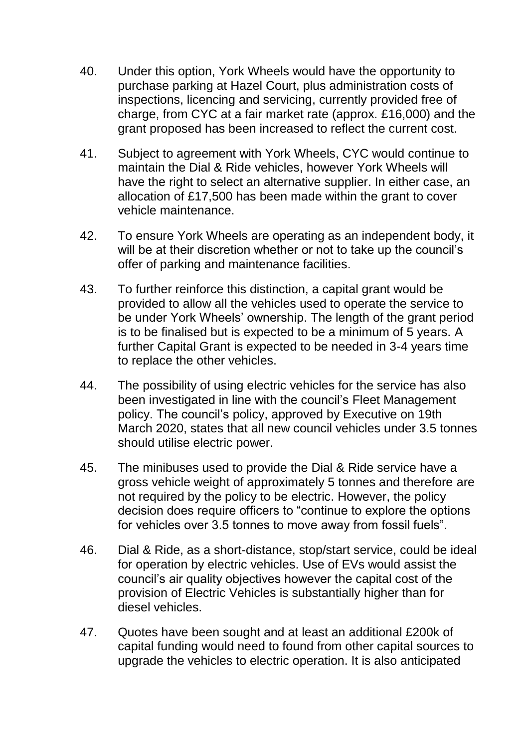- 40. Under this option, York Wheels would have the opportunity to purchase parking at Hazel Court, plus administration costs of inspections, licencing and servicing, currently provided free of charge, from CYC at a fair market rate (approx. £16,000) and the grant proposed has been increased to reflect the current cost.
- 41. Subject to agreement with York Wheels, CYC would continue to maintain the Dial & Ride vehicles, however York Wheels will have the right to select an alternative supplier. In either case, an allocation of £17,500 has been made within the grant to cover vehicle maintenance.
- 42. To ensure York Wheels are operating as an independent body, it will be at their discretion whether or not to take up the council's offer of parking and maintenance facilities.
- 43. To further reinforce this distinction, a capital grant would be provided to allow all the vehicles used to operate the service to be under York Wheels' ownership. The length of the grant period is to be finalised but is expected to be a minimum of 5 years. A further Capital Grant is expected to be needed in 3-4 years time to replace the other vehicles.
- 44. The possibility of using electric vehicles for the service has also been investigated in line with the council's Fleet Management policy. The council's policy, approved by Executive on 19th March 2020, states that all new council vehicles under 3.5 tonnes should utilise electric power.
- 45. The minibuses used to provide the Dial & Ride service have a gross vehicle weight of approximately 5 tonnes and therefore are not required by the policy to be electric. However, the policy decision does require officers to "continue to explore the options for vehicles over 3.5 tonnes to move away from fossil fuels".
- 46. Dial & Ride, as a short-distance, stop/start service, could be ideal for operation by electric vehicles. Use of EVs would assist the council's air quality objectives however the capital cost of the provision of Electric Vehicles is substantially higher than for diesel vehicles.
- 47. Quotes have been sought and at least an additional £200k of capital funding would need to found from other capital sources to upgrade the vehicles to electric operation. It is also anticipated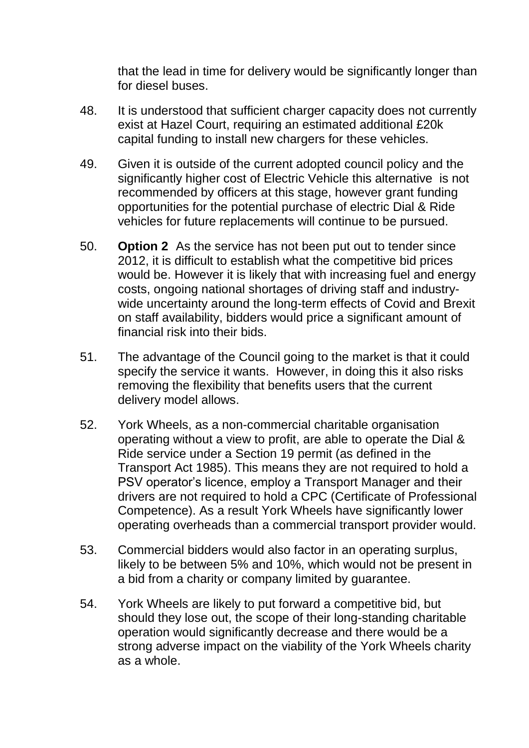that the lead in time for delivery would be significantly longer than for diesel buses.

- 48. It is understood that sufficient charger capacity does not currently exist at Hazel Court, requiring an estimated additional £20k capital funding to install new chargers for these vehicles.
- 49. Given it is outside of the current adopted council policy and the significantly higher cost of Electric Vehicle this alternative is not recommended by officers at this stage, however grant funding opportunities for the potential purchase of electric Dial & Ride vehicles for future replacements will continue to be pursued.
- 50. **Option 2** As the service has not been put out to tender since 2012, it is difficult to establish what the competitive bid prices would be. However it is likely that with increasing fuel and energy costs, ongoing national shortages of driving staff and industrywide uncertainty around the long-term effects of Covid and Brexit on staff availability, bidders would price a significant amount of financial risk into their bids.
- 51. The advantage of the Council going to the market is that it could specify the service it wants. However, in doing this it also risks removing the flexibility that benefits users that the current delivery model allows.
- 52. York Wheels, as a non-commercial charitable organisation operating without a view to profit, are able to operate the Dial & Ride service under a Section 19 permit (as defined in the Transport Act 1985). This means they are not required to hold a PSV operator's licence, employ a Transport Manager and their drivers are not required to hold a CPC (Certificate of Professional Competence). As a result York Wheels have significantly lower operating overheads than a commercial transport provider would.
- 53. Commercial bidders would also factor in an operating surplus, likely to be between 5% and 10%, which would not be present in a bid from a charity or company limited by guarantee.
- 54. York Wheels are likely to put forward a competitive bid, but should they lose out, the scope of their long-standing charitable operation would significantly decrease and there would be a strong adverse impact on the viability of the York Wheels charity as a whole.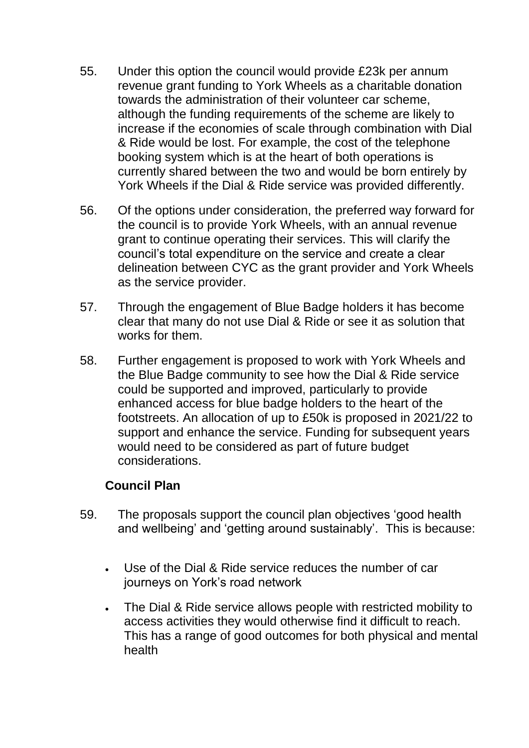- 55. Under this option the council would provide £23k per annum revenue grant funding to York Wheels as a charitable donation towards the administration of their volunteer car scheme, although the funding requirements of the scheme are likely to increase if the economies of scale through combination with Dial & Ride would be lost. For example, the cost of the telephone booking system which is at the heart of both operations is currently shared between the two and would be born entirely by York Wheels if the Dial & Ride service was provided differently.
- 56. Of the options under consideration, the preferred way forward for the council is to provide York Wheels, with an annual revenue grant to continue operating their services. This will clarify the council's total expenditure on the service and create a clear delineation between CYC as the grant provider and York Wheels as the service provider.
- 57. Through the engagement of Blue Badge holders it has become clear that many do not use Dial & Ride or see it as solution that works for them.
- 58. Further engagement is proposed to work with York Wheels and the Blue Badge community to see how the Dial & Ride service could be supported and improved, particularly to provide enhanced access for blue badge holders to the heart of the footstreets. An allocation of up to £50k is proposed in 2021/22 to support and enhance the service. Funding for subsequent years would need to be considered as part of future budget considerations.

### **Council Plan**

- 59. The proposals support the council plan objectives 'good health and wellbeing' and 'getting around sustainably'. This is because:
	- Use of the Dial & Ride service reduces the number of car journeys on York's road network
	- The Dial & Ride service allows people with restricted mobility to access activities they would otherwise find it difficult to reach. This has a range of good outcomes for both physical and mental health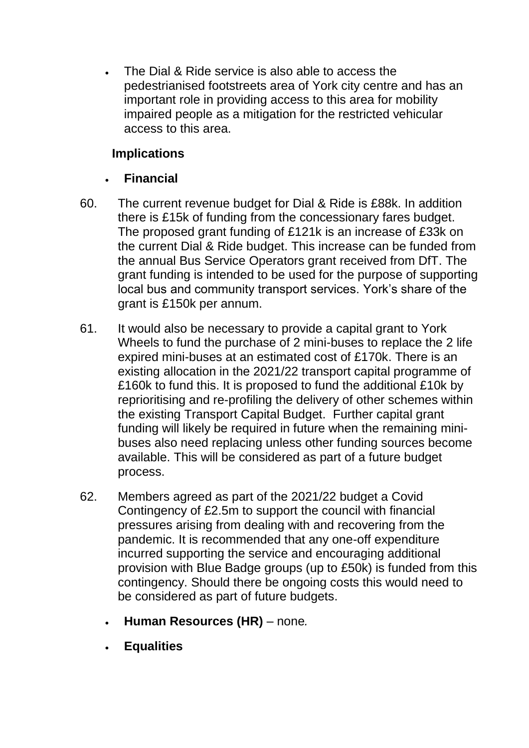The Dial & Ride service is also able to access the pedestrianised footstreets area of York city centre and has an important role in providing access to this area for mobility impaired people as a mitigation for the restricted vehicular access to this area.

## **Implications**

# **Financial**

- 60. The current revenue budget for Dial & Ride is £88k. In addition there is £15k of funding from the concessionary fares budget. The proposed grant funding of £121k is an increase of £33k on the current Dial & Ride budget. This increase can be funded from the annual Bus Service Operators grant received from DfT. The grant funding is intended to be used for the purpose of supporting local bus and community transport services. York's share of the grant is £150k per annum.
- 61. It would also be necessary to provide a capital grant to York Wheels to fund the purchase of 2 mini-buses to replace the 2 life expired mini-buses at an estimated cost of £170k. There is an existing allocation in the 2021/22 transport capital programme of £160k to fund this. It is proposed to fund the additional £10k by reprioritising and re-profiling the delivery of other schemes within the existing Transport Capital Budget. Further capital grant funding will likely be required in future when the remaining minibuses also need replacing unless other funding sources become available. This will be considered as part of a future budget process.
- 62. Members agreed as part of the 2021/22 budget a Covid Contingency of £2.5m to support the council with financial pressures arising from dealing with and recovering from the pandemic. It is recommended that any one-off expenditure incurred supporting the service and encouraging additional provision with Blue Badge groups (up to £50k) is funded from this contingency. Should there be ongoing costs this would need to be considered as part of future budgets.
	- **Human Resources (HR)**  none*.*
	- **Equalities**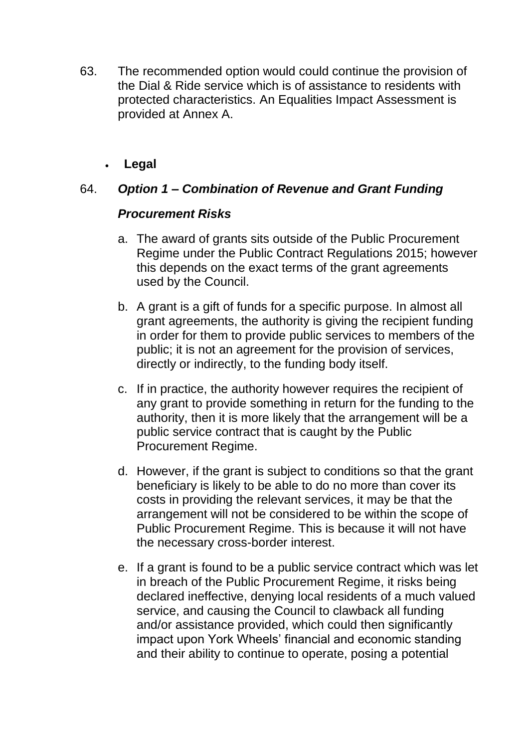- 63. The recommended option would could continue the provision of the Dial & Ride service which is of assistance to residents with protected characteristics. An Equalities Impact Assessment is provided at Annex A.
	- **Legal**

### 64. *Option 1 – Combination of Revenue and Grant Funding*

#### *Procurement Risks*

- a. The award of grants sits outside of the Public Procurement Regime under the Public Contract Regulations 2015; however this depends on the exact terms of the grant agreements used by the Council.
- b. A grant is a gift of funds for a specific purpose. In almost all grant agreements, the authority is giving the recipient funding in order for them to provide public services to members of the public; it is not an agreement for the provision of services, directly or indirectly, to the funding body itself.
- c. If in practice, the authority however requires the recipient of any grant to provide something in return for the funding to the authority, then it is more likely that the arrangement will be a public service contract that is caught by the Public Procurement Regime.
- d. However, if the grant is subject to conditions so that the grant beneficiary is likely to be able to do no more than cover its costs in providing the relevant services, it may be that the arrangement will not be considered to be within the scope of Public Procurement Regime. This is because it will not have the necessary cross-border interest.
- e. If a grant is found to be a public service contract which was let in breach of the Public Procurement Regime, it risks being declared ineffective, denying local residents of a much valued service, and causing the Council to clawback all funding and/or assistance provided, which could then significantly impact upon York Wheels' financial and economic standing and their ability to continue to operate, posing a potential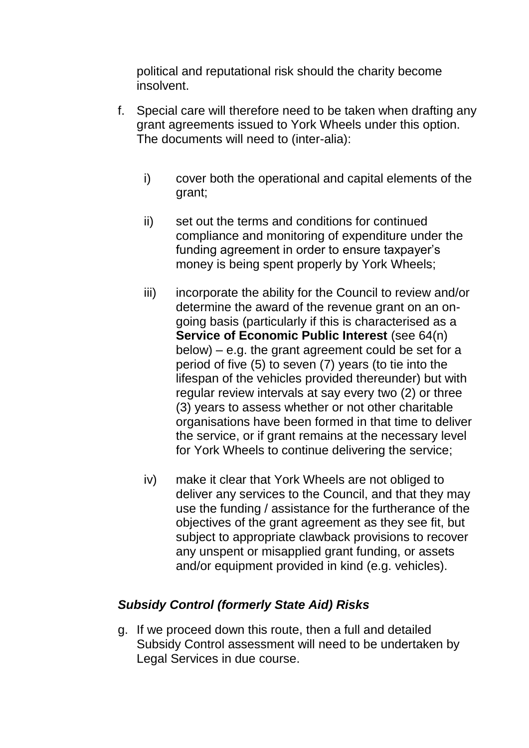political and reputational risk should the charity become insolvent.

- f. Special care will therefore need to be taken when drafting any grant agreements issued to York Wheels under this option. The documents will need to (inter-alia):
	- i) cover both the operational and capital elements of the grant;
	- ii) set out the terms and conditions for continued compliance and monitoring of expenditure under the funding agreement in order to ensure taxpayer's money is being spent properly by York Wheels;
	- iii) incorporate the ability for the Council to review and/or determine the award of the revenue grant on an ongoing basis (particularly if this is characterised as a **Service of Economic Public Interest** (see 64(n) below) – e.g. the grant agreement could be set for a period of five (5) to seven (7) years (to tie into the lifespan of the vehicles provided thereunder) but with regular review intervals at say every two (2) or three (3) years to assess whether or not other charitable organisations have been formed in that time to deliver the service, or if grant remains at the necessary level for York Wheels to continue delivering the service;
	- iv) make it clear that York Wheels are not obliged to deliver any services to the Council, and that they may use the funding / assistance for the furtherance of the objectives of the grant agreement as they see fit, but subject to appropriate clawback provisions to recover any unspent or misapplied grant funding, or assets and/or equipment provided in kind (e.g. vehicles).

## *Subsidy Control (formerly State Aid) Risks*

g. If we proceed down this route, then a full and detailed Subsidy Control assessment will need to be undertaken by Legal Services in due course.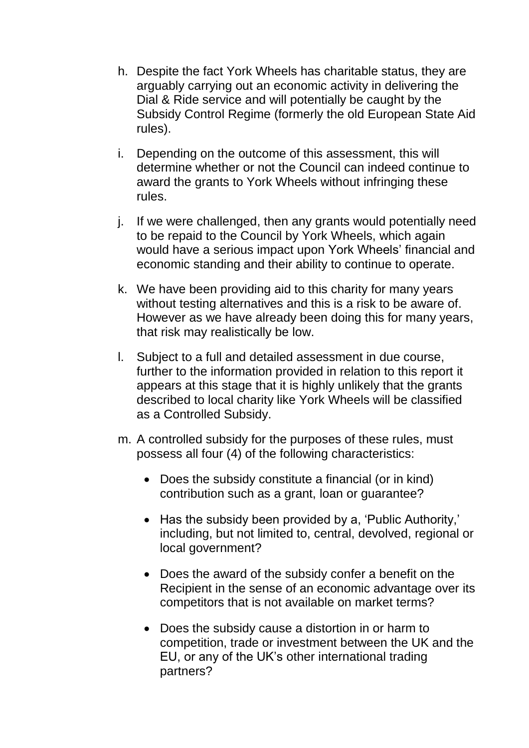- h. Despite the fact York Wheels has charitable status, they are arguably carrying out an economic activity in delivering the Dial & Ride service and will potentially be caught by the Subsidy Control Regime (formerly the old European State Aid rules).
- i. Depending on the outcome of this assessment, this will determine whether or not the Council can indeed continue to award the grants to York Wheels without infringing these rules.
- j. If we were challenged, then any grants would potentially need to be repaid to the Council by York Wheels, which again would have a serious impact upon York Wheels' financial and economic standing and their ability to continue to operate.
- k. We have been providing aid to this charity for many years without testing alternatives and this is a risk to be aware of. However as we have already been doing this for many years, that risk may realistically be low.
- l. Subject to a full and detailed assessment in due course, further to the information provided in relation to this report it appears at this stage that it is highly unlikely that the grants described to local charity like York Wheels will be classified as a Controlled Subsidy.
- m. A controlled subsidy for the purposes of these rules, must possess all four (4) of the following characteristics:
	- Does the subsidy constitute a financial (or in kind) contribution such as a grant, loan or guarantee?
	- Has the subsidy been provided by a. 'Public Authority.' including, but not limited to, central, devolved, regional or local government?
	- Does the award of the subsidy confer a benefit on the Recipient in the sense of an economic advantage over its competitors that is not available on market terms?
	- Does the subsidy cause a distortion in or harm to competition, trade or investment between the UK and the EU, or any of the UK's other international trading partners?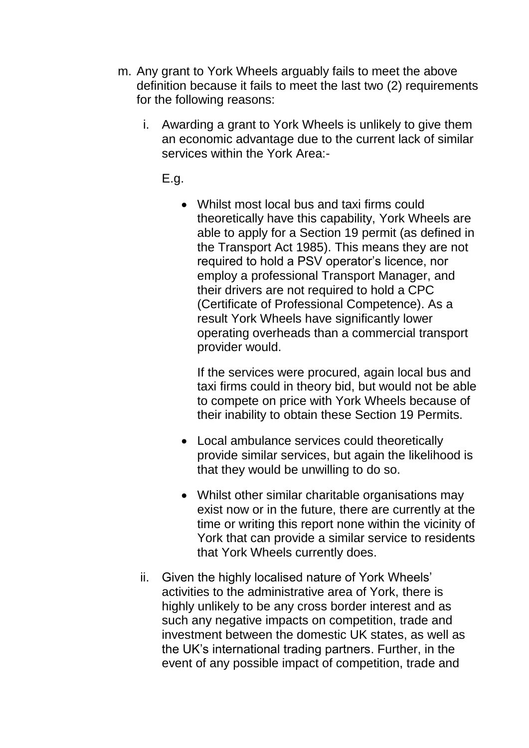- m. Any grant to York Wheels arguably fails to meet the above definition because it fails to meet the last two (2) requirements for the following reasons:
	- i. Awarding a grant to York Wheels is unlikely to give them an economic advantage due to the current lack of similar services within the York Area:-

E.g.

 Whilst most local bus and taxi firms could theoretically have this capability, York Wheels are able to apply for a Section 19 permit (as defined in the Transport Act 1985). This means they are not required to hold a PSV operator's licence, nor employ a professional Transport Manager, and their drivers are not required to hold a CPC (Certificate of Professional Competence). As a result York Wheels have significantly lower operating overheads than a commercial transport provider would.

If the services were procured, again local bus and taxi firms could in theory bid, but would not be able to compete on price with York Wheels because of their inability to obtain these Section 19 Permits.

- Local ambulance services could theoretically provide similar services, but again the likelihood is that they would be unwilling to do so.
- Whilst other similar charitable organisations may exist now or in the future, there are currently at the time or writing this report none within the vicinity of York that can provide a similar service to residents that York Wheels currently does.
- ii. Given the highly localised nature of York Wheels' activities to the administrative area of York, there is highly unlikely to be any cross border interest and as such any negative impacts on competition, trade and investment between the domestic UK states, as well as the UK's international trading partners. Further, in the event of any possible impact of competition, trade and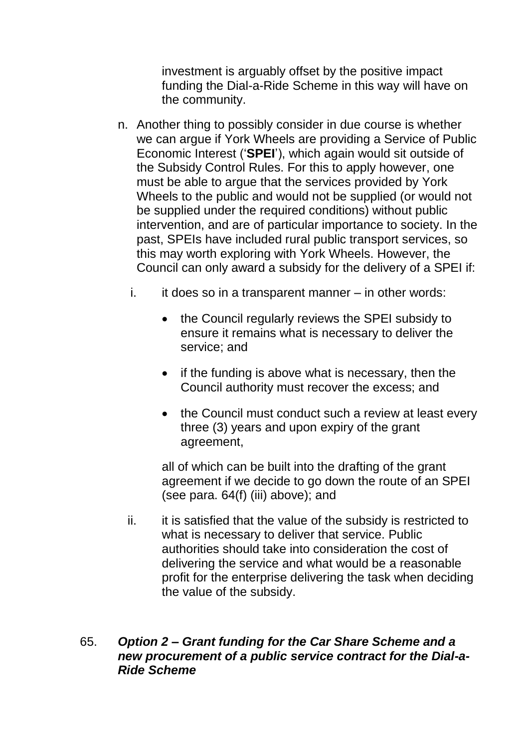investment is arguably offset by the positive impact funding the Dial-a-Ride Scheme in this way will have on the community.

- n. Another thing to possibly consider in due course is whether we can argue if York Wheels are providing a Service of Public Economic Interest ('**SPEI**'), which again would sit outside of the Subsidy Control Rules. For this to apply however, one must be able to argue that the services provided by York Wheels to the public and would not be supplied (or would not be supplied under the required conditions) without public intervention, and are of particular importance to society. In the past, SPEIs have included rural public transport services, so this may worth exploring with York Wheels. However, the Council can only award a subsidy for the delivery of a SPEI if:
	- $i.$  it does so in a transparent manner in other words:
		- the Council regularly reviews the SPEI subsidy to ensure it remains what is necessary to deliver the service; and
		- $\bullet$  if the funding is above what is necessary, then the Council authority must recover the excess; and
		- the Council must conduct such a review at least every three (3) years and upon expiry of the grant agreement,

all of which can be built into the drafting of the grant agreement if we decide to go down the route of an SPEI (see para. 64(f) (iii) above); and

ii. it is satisfied that the value of the subsidy is restricted to what is necessary to deliver that service. Public authorities should take into consideration the cost of delivering the service and what would be a reasonable profit for the enterprise delivering the task when deciding the value of the subsidy.

#### 65. *Option 2 – Grant funding for the Car Share Scheme and a new procurement of a public service contract for the Dial-a-Ride Scheme*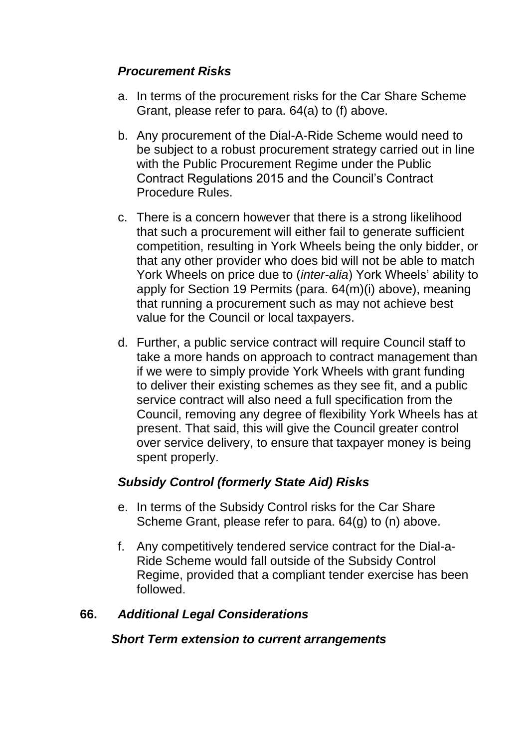## *Procurement Risks*

- a. In terms of the procurement risks for the Car Share Scheme Grant, please refer to para. 64(a) to (f) above.
- b. Any procurement of the Dial-A-Ride Scheme would need to be subject to a robust procurement strategy carried out in line with the Public Procurement Regime under the Public Contract Regulations 2015 and the Council's Contract Procedure Rules.
- c. There is a concern however that there is a strong likelihood that such a procurement will either fail to generate sufficient competition, resulting in York Wheels being the only bidder, or that any other provider who does bid will not be able to match York Wheels on price due to (*inter-alia*) York Wheels' ability to apply for Section 19 Permits (para. 64(m)(i) above), meaning that running a procurement such as may not achieve best value for the Council or local taxpayers.
- d. Further, a public service contract will require Council staff to take a more hands on approach to contract management than if we were to simply provide York Wheels with grant funding to deliver their existing schemes as they see fit, and a public service contract will also need a full specification from the Council, removing any degree of flexibility York Wheels has at present. That said, this will give the Council greater control over service delivery, to ensure that taxpayer money is being spent properly.

### *Subsidy Control (formerly State Aid) Risks*

- e. In terms of the Subsidy Control risks for the Car Share Scheme Grant, please refer to para. 64(g) to (n) above.
- f. Any competitively tendered service contract for the Dial-a-Ride Scheme would fall outside of the Subsidy Control Regime, provided that a compliant tender exercise has been followed.

### **66.** *Additional Legal Considerations*

#### *Short Term extension to current arrangements*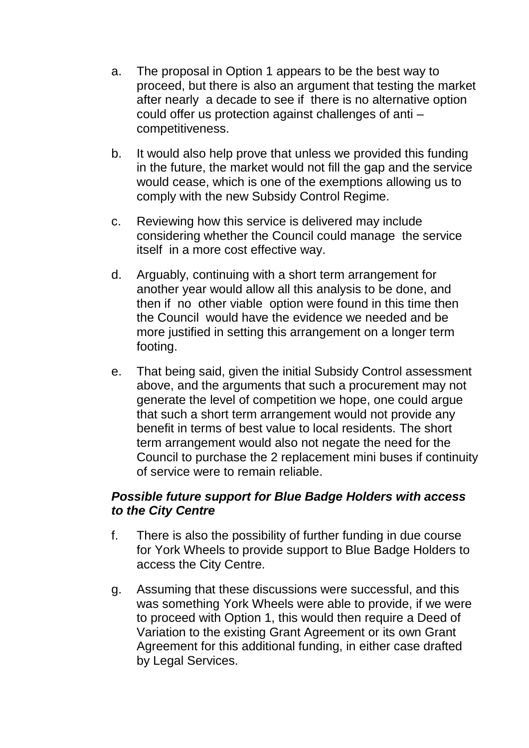- a. The proposal in Option 1 appears to be the best way to proceed, but there is also an argument that testing the market after nearly a decade to see if there is no alternative option could offer us protection against challenges of anti – competitiveness.
- b. It would also help prove that unless we provided this funding in the future, the market would not fill the gap and the service would cease, which is one of the exemptions allowing us to comply with the new Subsidy Control Regime.
- c. Reviewing how this service is delivered may include considering whether the Council could manage the service itself in a more cost effective way.
- d. Arguably, continuing with a short term arrangement for another year would allow all this analysis to be done, and then if no other viable option were found in this time then the Council would have the evidence we needed and be more justified in setting this arrangement on a longer term footing.
- e. That being said, given the initial Subsidy Control assessment above, and the arguments that such a procurement may not generate the level of competition we hope, one could argue that such a short term arrangement would not provide any benefit in terms of best value to local residents. The short term arrangement would also not negate the need for the Council to purchase the 2 replacement mini buses if continuity of service were to remain reliable.

#### *Possible future support for Blue Badge Holders with access to the City Centre*

- f. There is also the possibility of further funding in due course for York Wheels to provide support to Blue Badge Holders to access the City Centre.
- g. Assuming that these discussions were successful, and this was something York Wheels were able to provide, if we were to proceed with Option 1, this would then require a Deed of Variation to the existing Grant Agreement or its own Grant Agreement for this additional funding, in either case drafted by Legal Services.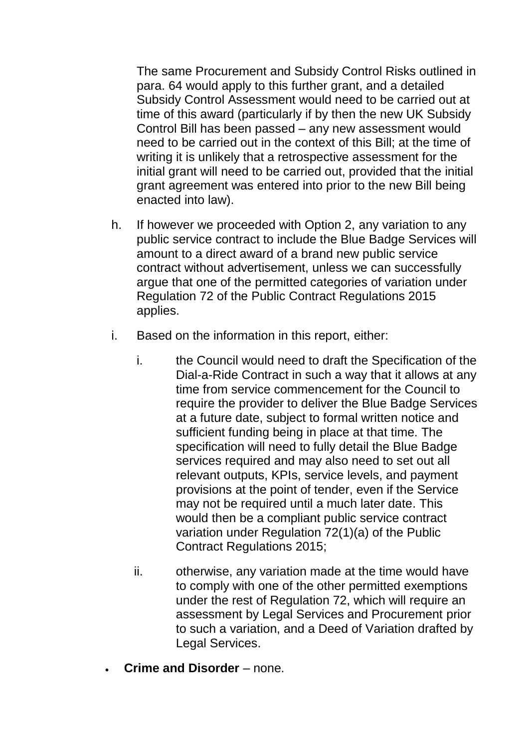The same Procurement and Subsidy Control Risks outlined in para. 64 would apply to this further grant, and a detailed Subsidy Control Assessment would need to be carried out at time of this award (particularly if by then the new UK Subsidy Control Bill has been passed – any new assessment would need to be carried out in the context of this Bill; at the time of writing it is unlikely that a retrospective assessment for the initial grant will need to be carried out, provided that the initial grant agreement was entered into prior to the new Bill being enacted into law).

- h. If however we proceeded with Option 2, any variation to any public service contract to include the Blue Badge Services will amount to a direct award of a brand new public service contract without advertisement, unless we can successfully argue that one of the permitted categories of variation under Regulation 72 of the Public Contract Regulations 2015 applies.
- i. Based on the information in this report, either:
	- i. the Council would need to draft the Specification of the Dial-a-Ride Contract in such a way that it allows at any time from service commencement for the Council to require the provider to deliver the Blue Badge Services at a future date, subject to formal written notice and sufficient funding being in place at that time. The specification will need to fully detail the Blue Badge services required and may also need to set out all relevant outputs, KPIs, service levels, and payment provisions at the point of tender, even if the Service may not be required until a much later date. This would then be a compliant public service contract variation under Regulation 72(1)(a) of the Public Contract Regulations 2015;
	- ii. otherwise, any variation made at the time would have to comply with one of the other permitted exemptions under the rest of Regulation 72, which will require an assessment by Legal Services and Procurement prior to such a variation, and a Deed of Variation drafted by Legal Services.
- **Crime and Disorder**  none.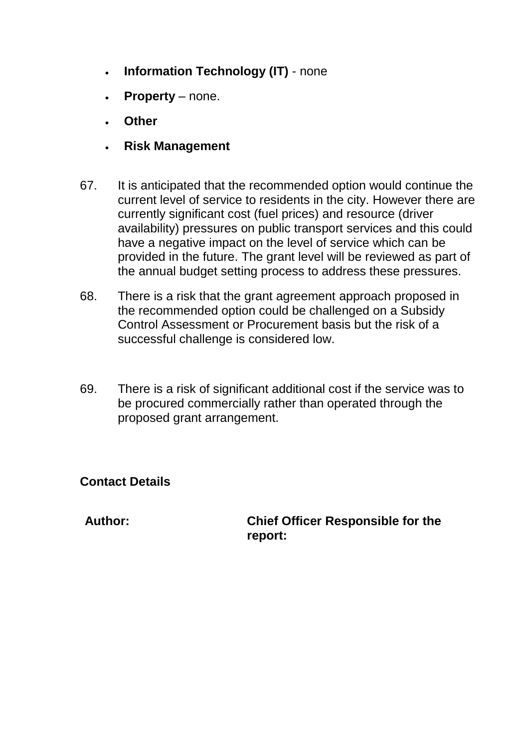- **Information Technology (IT)**  none
- **Property**  none.
- **Other**
- **Risk Management**
- 67. It is anticipated that the recommended option would continue the current level of service to residents in the city. However there are currently significant cost (fuel prices) and resource (driver availability) pressures on public transport services and this could have a negative impact on the level of service which can be provided in the future. The grant level will be reviewed as part of the annual budget setting process to address these pressures.
- 68. There is a risk that the grant agreement approach proposed in the recommended option could be challenged on a Subsidy Control Assessment or Procurement basis but the risk of a successful challenge is considered low.
- 69. There is a risk of significant additional cost if the service was to be procured commercially rather than operated through the proposed grant arrangement.

### **Contact Details**

**Author: Chief Officer Responsible for the report:**